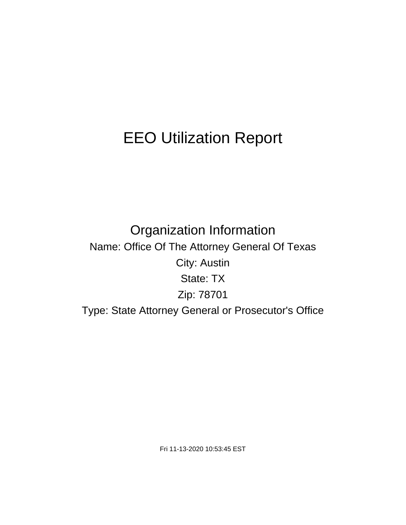# EEO Utilization Report

Organization Information Name: Office Of The Attorney General Of Texas City: Austin State: TX Zip: 78701 Type: State Attorney General or Prosecutor's Office

Fri 11-13-2020 10:53:45 EST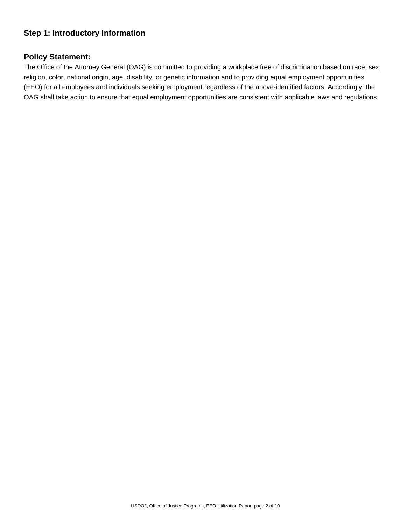# **Step 1: Introductory Information**

## **Policy Statement:**

The Office of the Attorney General (OAG) is committed to providing a workplace free of discrimination based on race, sex, religion, color, national origin, age, disability, or genetic information and to providing equal employment opportunities (EEO) for all employees and individuals seeking employment regardless of the above-identified factors. Accordingly, the OAG shall take action to ensure that equal employment opportunities are consistent with applicable laws and regulations.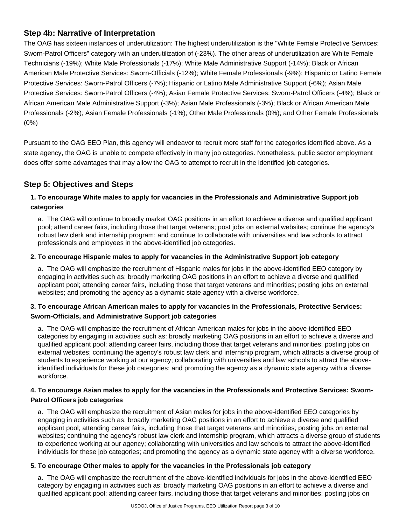# **Step 4b: Narrative of Interpretation**

The OAG has sixteen instances of underutilization: The highest underutilization is the "White Female Protective Services: Sworn-Patrol Officers" category with an underutilization of (-23%). The other areas of underutilization are White Female Technicians (-19%); White Male Professionals (-17%); White Male Administrative Support (-14%); Black or African American Male Protective Services: Sworn-Officials (-12%); White Female Professionals (-9%); Hispanic or Latino Female Protective Services: Sworn-Patrol Officers (-7%); Hispanic or Latino Male Administrative Support (-6%); Asian Male Protective Services: Sworn-Patrol Officers (-4%); Asian Female Protective Services: Sworn-Patrol Officers (-4%); Black or African American Male Administrative Support (-3%); Asian Male Professionals (-3%); Black or African American Male Professionals (-2%); Asian Female Professionals (-1%); Other Male Professionals (0%); and Other Female Professionals (0%)

Pursuant to the OAG EEO Plan, this agency will endeavor to recruit more staff for the categories identified above. As a state agency, the OAG is unable to compete effectively in many job categories. Nonetheless, public sector employment does offer some advantages that may allow the OAG to attempt to recruit in the identified job categories.

# **Step 5: Objectives and Steps**

# **1. To encourage White males to apply for vacancies in the Professionals and Administrative Support job categories**

a. The OAG will continue to broadly market OAG positions in an effort to achieve a diverse and qualified applicant pool; attend career fairs, including those that target veterans; post jobs on external websites; continue the agency's robust law clerk and internship program; and continue to collaborate with universities and law schools to attract professionals and employees in the above-identified job categories.

#### **2. To encourage Hispanic males to apply for vacancies in the Administrative Support job category**

a. The OAG will emphasize the recruitment of Hispanic males for jobs in the above-identified EEO category by engaging in activities such as: broadly marketing OAG positions in an effort to achieve a diverse and qualified applicant pool; attending career fairs, including those that target veterans and minorities; posting jobs on external websites; and promoting the agency as a dynamic state agency with a diverse workforce.

## **3. To encourage African American males to apply for vacancies in the Professionals, Protective Services: Sworn-Officials, and Administrative Support job categories**

a. The OAG will emphasize the recruitment of African American males for jobs in the above-identified EEO categories by engaging in activities such as: broadly marketing OAG positions in an effort to achieve a diverse and qualified applicant pool; attending career fairs, including those that target veterans and minorities; posting jobs on external websites; continuing the agency's robust law clerk and internship program, which attracts a diverse group of students to experience working at our agency; collaborating with universities and law schools to attract the aboveidentified individuals for these job categories; and promoting the agency as a dynamic state agency with a diverse workforce.

#### **4. To encourage Asian males to apply for the vacancies in the Professionals and Protective Services: Sworn-Patrol Officers job categories**

a. The OAG will emphasize the recruitment of Asian males for jobs in the above-identified EEO categories by engaging in activities such as: broadly marketing OAG positions in an effort to achieve a diverse and qualified applicant pool; attending career fairs, including those that target veterans and minorities; posting jobs on external websites; continuing the agency's robust law clerk and internship program, which attracts a diverse group of students to experience working at our agency; collaborating with universities and law schools to attract the above-identified individuals for these job categories; and promoting the agency as a dynamic state agency with a diverse workforce.

#### **5. To encourage Other males to apply for the vacancies in the Professionals job category**

a. The OAG will emphasize the recruitment of the above-identified individuals for jobs in the above-identified EEO category by engaging in activities such as: broadly marketing OAG positions in an effort to achieve a diverse and qualified applicant pool; attending career fairs, including those that target veterans and minorities; posting jobs on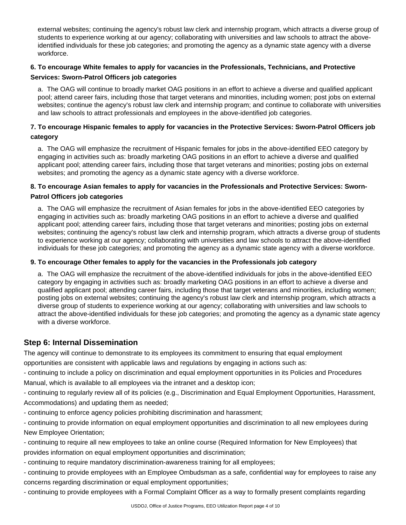external websites; continuing the agency's robust law clerk and internship program, which attracts a diverse group of students to experience working at our agency; collaborating with universities and law schools to attract the aboveidentified individuals for these job categories; and promoting the agency as a dynamic state agency with a diverse workforce.

# **6. To encourage White females to apply for vacancies in the Professionals, Technicians, and Protective Services: Sworn-Patrol Officers job categories**

a. The OAG will continue to broadly market OAG positions in an effort to achieve a diverse and qualified applicant pool; attend career fairs, including those that target veterans and minorities, including women; post jobs on external websites; continue the agency's robust law clerk and internship program; and continue to collaborate with universities and law schools to attract professionals and employees in the above-identified job categories.

#### **7. To encourage Hispanic females to apply for vacancies in the Protective Services: Sworn-Patrol Officers job category**

a. The OAG will emphasize the recruitment of Hispanic females for jobs in the above-identified EEO category by engaging in activities such as: broadly marketing OAG positions in an effort to achieve a diverse and qualified applicant pool; attending career fairs, including those that target veterans and minorities; posting jobs on external websites; and promoting the agency as a dynamic state agency with a diverse workforce.

#### **8. To encourage Asian females to apply for vacancies in the Professionals and Protective Services: Sworn-Patrol Officers job categories**

a. The OAG will emphasize the recruitment of Asian females for jobs in the above-identified EEO categories by engaging in activities such as: broadly marketing OAG positions in an effort to achieve a diverse and qualified applicant pool; attending career fairs, including those that target veterans and minorities; posting jobs on external websites; continuing the agency's robust law clerk and internship program, which attracts a diverse group of students to experience working at our agency; collaborating with universities and law schools to attract the above-identified individuals for these job categories; and promoting the agency as a dynamic state agency with a diverse workforce.

#### **9. To encourage Other females to apply for the vacancies in the Professionals job category**

a. The OAG will emphasize the recruitment of the above-identified individuals for jobs in the above-identified EEO category by engaging in activities such as: broadly marketing OAG positions in an effort to achieve a diverse and qualified applicant pool; attending career fairs, including those that target veterans and minorities, including women; posting jobs on external websites; continuing the agency's robust law clerk and internship program, which attracts a diverse group of students to experience working at our agency; collaborating with universities and law schools to attract the above-identified individuals for these job categories; and promoting the agency as a dynamic state agency with a diverse workforce.

# **Step 6: Internal Dissemination**

The agency will continue to demonstrate to its employees its commitment to ensuring that equal employment opportunities are consistent with applicable laws and regulations by engaging in actions such as:

- continuing to include a policy on discrimination and equal employment opportunities in its Policies and Procedures Manual, which is available to all employees via the intranet and a desktop icon;

- continuing to regularly review all of its policies (e.g., Discrimination and Equal Employment Opportunities, Harassment, Accommodations) and updating them as needed;

- continuing to enforce agency policies prohibiting discrimination and harassment;

- continuing to provide information on equal employment opportunities and discrimination to all new employees during New Employee Orientation;

- continuing to require all new employees to take an online course (Required Information for New Employees) that provides information on equal employment opportunities and discrimination;

- continuing to require mandatory discrimination-awareness training for all employees;

- continuing to provide employees with an Employee Ombudsman as a safe, confidential way for employees to raise any concerns regarding discrimination or equal employment opportunities;

- continuing to provide employees with a Formal Complaint Officer as a way to formally present complaints regarding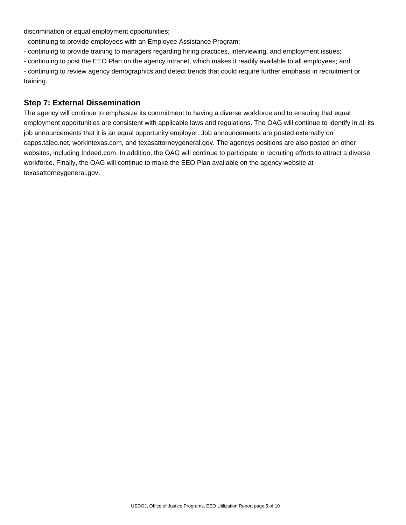discrimination or equal employment opportunities;

- continuing to provide employees with an Employee Assistance Program;

- continuing to provide training to managers regarding hiring practices, interviewing, and employment issues;
- continuing to post the EEO Plan on the agency intranet, which makes it readily available to all employees; and

- continuing to review agency demographics and detect trends that could require further emphasis in recruitment or training.

## **Step 7: External Dissemination**

The agency will continue to emphasize its commitment to having a diverse workforce and to ensuring that equal employment opportunities are consistent with applicable laws and regulations. The OAG will continue to identify in all its job announcements that it is an equal opportunity employer. Job announcements are posted externally on capps.taleo.net, workintexas.com, and texasattorneygeneral.gov. The agencys positions are also posted on other websites, including Indeed.com. In addition, the OAG will continue to participate in recruiting efforts to attract a diverse workforce. Finally, the OAG will continue to make the EEO Plan available on the agency website at texasattorneygeneral.gov.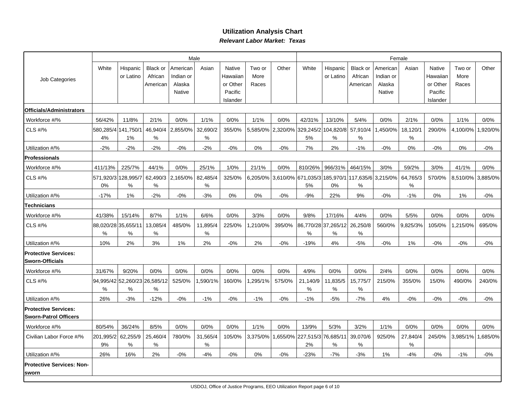## **Utilization Analysis ChartRelevant Labor Market: Texas**

|                                                             |                 |                                    |                            |                       | Male             |                                 |                | Female |                                             |                          |                         |                       |                  |                                 |                |          |
|-------------------------------------------------------------|-----------------|------------------------------------|----------------------------|-----------------------|------------------|---------------------------------|----------------|--------|---------------------------------------------|--------------------------|-------------------------|-----------------------|------------------|---------------------------------|----------------|----------|
| Job Categories                                              | White           | Hispanic<br>or Latino              | <b>Black or</b><br>African | American<br>Indian or | Asian            | Native<br>Hawaiiar              | Two or<br>More | Other  | White                                       | Hispanic<br>or Latino    | Black or<br>African     | American<br>Indian or | Asian            | Native<br>Hawaiian              | Two or<br>More | Other    |
|                                                             |                 |                                    | American                   | Alaska<br>Native      |                  | or Other<br>Pacific<br>Islander | Races          |        |                                             |                          | American                | Alaska<br>Native      |                  | or Other<br>Pacific<br>Islander | Races          |          |
| Officials/Administrators                                    |                 |                                    |                            |                       |                  |                                 |                |        |                                             |                          |                         |                       |                  |                                 |                |          |
| Workforce #/%                                               | 56/42%          | 11/8%                              | 2/1%                       | 0/0%                  | 1/1%             | 0/0%                            | 1/1%           | 0/0%   | 42/31%                                      | 13/10%                   | 5/4%                    | 0/0%                  | 2/1%             | 0/0%                            | 1/1%           | 0/0%     |
| CLS #/%                                                     | 4%              | 580,285/4 141,750/1<br>$1\%$       | 46,940/4<br>%              | 2,855/0%              | 32,690/2<br>$\%$ | 355/0%                          | 5,585/0%       |        | 2,320/0% 329,245/2 104,820/8 57,910/4<br>5% | %                        | $\%$                    | 1,450/0%              | 18,120/1<br>$\%$ | 290/0%                          | 4,100/0%       | ,920/0%  |
| Utilization #/%                                             | $-2%$           | $-2%$                              | $-2%$                      | $-0%$                 | $-2%$            | $-0%$                           | 0%             | $-0%$  | 7%                                          | 2%                       | $-1%$                   | $-0%$                 | $0\%$            | $-0\%$                          | 0%             | $-0\%$   |
| <b>Professionals</b>                                        |                 |                                    |                            |                       |                  |                                 |                |        |                                             |                          |                         |                       |                  |                                 |                |          |
| Workforce #/%                                               | 411/13%         | 225/7%                             | 44/1%                      | 0/0%                  | 25/1%            | 1/0%                            | 21/1%          | 0/0%   | 810/26%                                     | 966/31%                  | 464/15%                 | 3/0%                  | 59/2%            | 3/0%                            | 41/1%          | 0/0%     |
| <b>CLS #/%</b>                                              | 0%              | 571,920/3 128,995/7<br>%           | 62,490/3<br>$\%$           | 2,165/0%              | 82,485/4<br>$\%$ | 325/0%                          | 6,205/0%       |        | 3,610/0% 671,035/3 185,970/1<br>5%          | 0%                       | 117,635/6 3,215/0%<br>% |                       | 64,765/3<br>$\%$ | 570/0%                          | 8,510/0%       | 3,885/0% |
| Utilization #/%                                             | $-17%$          | 1%                                 | $-2%$                      | $-0%$                 | $-3%$            | 0%                              | 0%             | $-0%$  | $-9%$                                       | 22%                      | 9%                      | $-0%$                 | $-1%$            | 0%                              | 1%             | $-0%$    |
| <b>Technicians</b>                                          |                 |                                    |                            |                       |                  |                                 |                |        |                                             |                          |                         |                       |                  |                                 |                |          |
| Workforce #/%                                               | 41/38%          | 15/14%                             | 8/7%                       | 1/1%                  | 6/6%             | 0/0%                            | 3/3%           | 0/0%   | 9/8%                                        | 17/16%                   | 4/4%                    | 0/0%                  | 5/5%             | 0/0%                            | 0/0%           | 0/0%     |
| CLS #/%                                                     | ℅               | 88,020/28 35,655/11<br>%           | 13,085/4<br>%              | 485/0%                | 11,895/4<br>%    | 225/0%                          | ,210/0%        | 395/0% | %                                           | 86,770/28 37,265/12<br>% | 26,250/8<br>%           | 560/0%                | 9,825/3%         | 105/0%                          | 1,215/0%       | 695/0%   |
| Utilization #/%                                             | 10%             | 2%                                 | 3%                         | 1%                    | 2%               | $-0%$                           | 2%             | $-0%$  | $-19%$                                      | 4%                       | $-5%$                   | $-0\%$                | 1%               | $-0\%$                          | $-0%$          | $-0\%$   |
| <b>Protective Services:</b><br><b>Sworn-Officials</b>       |                 |                                    |                            |                       |                  |                                 |                |        |                                             |                          |                         |                       |                  |                                 |                |          |
| Workforce #/%                                               | 31/67%          | 9/20%                              | 0/0%                       | 0/0%                  | 0/0%             | 0/0%                            | 0/0%           | 0/0%   | 4/9%                                        | 0/0%                     | 0/0%                    | 2/4%                  | 0/0%             | 0/0%                            | 0/0%           | 0/0%     |
| CLS #/%                                                     | $\%$            | 94,995/42 52,260/23 26,585/12<br>% | $\%$                       | 525/0%                | ,590/1%          | 160/0%                          | ,295/1%        | 575/0% | 21,140/9<br>$\%$                            | 11,835/5<br>$\%$         | 15,775/7<br>$\%$        | 215/0%                | 355/0%           | 15/0%                           | 490/0%         | 240/0%   |
| Utilization #/%                                             | 26%             | $-3%$                              | $-12%$                     | $-0%$                 | $-1%$            | $-0%$                           | $-1%$          | $-0%$  | $-1%$                                       | $-5%$                    | $-7%$                   | 4%                    | $-0%$            | $-0\%$                          | $-0%$          | $-0\%$   |
| <b>Protective Services:</b><br><b>Sworn-Patrol Officers</b> |                 |                                    |                            |                       |                  |                                 |                |        |                                             |                          |                         |                       |                  |                                 |                |          |
| Workforce #/%                                               | 80/54%          | 36/24%                             | 8/5%                       | 0/0%                  | 0/0%             | 0/0%                            | 1/1%           | 0/0%   | 13/9%                                       | 5/3%                     | 3/2%                    | 1/1%                  | 0/0%             | 0/0%                            | 0/0%           | 0/0%     |
| Civilian Labor Force #/%                                    | 201,995/2<br>9% | 62,255/9<br>%                      | 25,460/4<br>$\%$           | 780/0%                | 31,565/4<br>$\%$ | 105/0%                          | 3,375/0%       |        | ,655/0% 227,515/3 76,685/11<br>2%           | %                        | 39,070/6<br>$\%$        | 925/0%                | 27,840/4<br>%    | 245/0%                          | 3,985/1%       | .685/0%  |
| Utilization #/%                                             | 26%             | 16%                                | 2%                         | $-0%$                 | $-4%$            | $-0%$                           | 0%             | $-0%$  | $-23%$                                      | $-7%$                    | $-3%$                   | 1%                    | $-4%$            | $-0%$                           | $-1%$          | $-0\%$   |
| <b>Protective Services: Non-</b><br><b>sworn</b>            |                 |                                    |                            |                       |                  |                                 |                |        |                                             |                          |                         |                       |                  |                                 |                |          |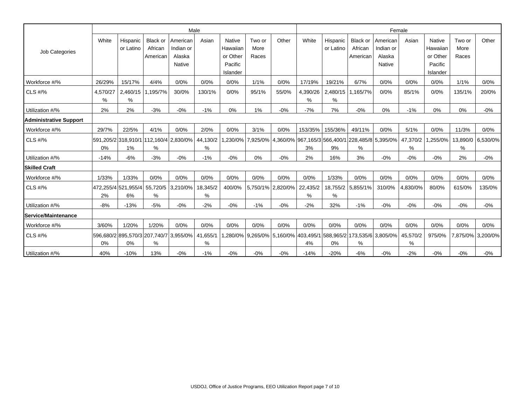|                               |               |                            |                                             |                                                  | Male          |                                                  |                         | Female            |                                                                                       |                       |                                        |                                                    |               |                                                  |                         |                   |
|-------------------------------|---------------|----------------------------|---------------------------------------------|--------------------------------------------------|---------------|--------------------------------------------------|-------------------------|-------------------|---------------------------------------------------------------------------------------|-----------------------|----------------------------------------|----------------------------------------------------|---------------|--------------------------------------------------|-------------------------|-------------------|
| Job Categories                | White         | Hispanic<br>or Latino      | <b>Black or</b><br>African<br>American      | American<br>Indian or<br>Alaska<br><b>Native</b> | Asian         | <b>Native</b><br>Hawaiian<br>or Other<br>Pacific | Two or<br>More<br>Races | Other             | White                                                                                 | Hispanic<br>or Latino | <b>Black or</b><br>African<br>American | l American<br>Indian or<br>Alaska<br><b>Native</b> | Asian         | <b>Native</b><br>Hawaiian<br>or Other<br>Pacific | Two or<br>More<br>Races | Other             |
|                               |               |                            |                                             |                                                  |               | Islander                                         |                         |                   |                                                                                       |                       |                                        |                                                    |               | Islander                                         |                         |                   |
| Workforce #/%                 | 26/29%        | 15/17%                     | 4/4%                                        | 0/0%                                             | 0/0%          | 0/0%                                             | 1/1%                    | 0/0%              | 17/19%                                                                                | 19/21%                | 6/7%                                   | 0/0%                                               | 0/0%          | 0/0%                                             | 1/1%                    | 0/0%              |
| CLS #/%                       | 4,570/27<br>% | 2,460/15<br>%              | 1,195/7%                                    | 30/0%                                            | 130/1%        | 0/0%                                             | 95/1%                   | 55/0%             | 4,390/26<br>%                                                                         | %                     | 2,480/15 1,165/7%                      | 0/0%                                               | 85/1%         | 0/0%                                             | 135/1%                  | 20/0%             |
| Utilization #/%               | 2%            | 2%                         | $-3%$                                       | $-0%$                                            | $-1%$         | 0%                                               | 1%                      | $-0%$             | $-7%$                                                                                 | 7%                    | $-0\%$                                 | 0%                                                 | $-1%$         | $0\%$                                            | 0%                      | $-0%$             |
| <b>Administrative Support</b> |               |                            |                                             |                                                  |               |                                                  |                         |                   |                                                                                       |                       |                                        |                                                    |               |                                                  |                         |                   |
| Workforce #/%                 | 29/7%         | 22/5%                      | 4/1%                                        | 0/0%                                             | 2/0%          | 0/0%                                             | 3/1%                    | 0/0%              |                                                                                       | 153/35% 155/36%       | 49/11%                                 | 0/0%                                               | 5/1%          | 0/0%                                             | 11/3%                   | 0/0%              |
| CLS #/%                       | 0%            | 1%                         | 591,205/2 318,910/1 112,160/4 2,830/0%<br>% |                                                  | 44,130/2<br>% |                                                  |                         |                   | 1,230/0%   7,925/0%   4,360/0%   967,165/3   566,400/1   228,485/8   5,395/0%  <br>3% | 9%                    | %                                      |                                                    | 47,370/2<br>% | 1,255/0%                                         | 13,890/0<br>%           | 6,530/0%          |
| Utilization #/%               | $-14%$        | $-6%$                      | $-3%$                                       | $-0%$                                            | $-1%$         | $-0%$                                            | 0%                      | $-0%$             | 2%                                                                                    | 16%                   | 3%                                     | $-0%$                                              | $-0%$         | $-0%$                                            | 2%                      | $-0%$             |
| <b>ISkilled Craft</b>         |               |                            |                                             |                                                  |               |                                                  |                         |                   |                                                                                       |                       |                                        |                                                    |               |                                                  |                         |                   |
| Workforce #/%                 | 1/33%         | 1/33%                      | 0/0%                                        | 0/0%                                             | 0/0%          | 0/0%                                             | 0/0%                    | 0/0%              | 0/0%                                                                                  | 1/33%                 | 0/0%                                   | 0/0%                                               | 0/0%          | 0/0%                                             | 0/0%                    | 0/0%              |
| CLS #/%                       | 2%            | 472.255/41521.955/41<br>6% | 55,720/5<br>%                               | 3,210/0%                                         | 18,345/2<br>% | 400/0%                                           |                         | 5,750/1% 2,820/0% | 22,435/2<br>%                                                                         | %                     | 18,755/2 5,855/1%                      | 310/0%                                             | 4.830/0%      | 80/0%                                            | 615/0%                  | 135/0%            |
| Utilization #/%               | $-8%$         | $-13%$                     | $-5%$                                       | $-0%$                                            | $-2%$         | $-0\%$                                           | $-1%$                   | $-0%$             | $-2%$                                                                                 | 32%                   | $-1%$                                  | $-0%$                                              | $-0%$         | $-0%$                                            | $-0%$                   | $-0%$             |
| <b>lService/Maintenance</b>   |               |                            |                                             |                                                  |               |                                                  |                         |                   |                                                                                       |                       |                                        |                                                    |               |                                                  |                         |                   |
| Workforce #/%                 | 3/60%         | 1/20%                      | 1/20%                                       | 0/0%                                             | 0/0%          | 0/0%                                             | 0/0%                    | 0/0%              | 0/0%                                                                                  | 0/0%                  | 0/0%                                   | 0/0%                                               | 0/0%          | 0/0%                                             | 0/0%                    | 0/0%              |
| CLS #/%                       | 0%            | 0%                         | 596,680/2 895,570/3 207,740/7 3,955/0%<br>% |                                                  | 41,655/1<br>% |                                                  |                         |                   | 1,280/0% 9,265/0% 5,160/0% 403,495/1 588,965/2 173,535/6 3,805/0%<br>4%               | 0%                    | %                                      |                                                    | 45,570/2<br>% | 975/0%                                           |                         | 7,875/0% 3,200/0% |
| Utilization #/%               | 40%           | $-10%$                     | 13%                                         | $-0\%$                                           | $-1%$         | $-0\%$                                           | $-0\%$                  | $-0\%$            | $-14%$                                                                                | $-20%$                | $-6%$                                  | $-0\%$                                             | $-2%$         | $-0\%$                                           | $-0%$                   | $-0\%$            |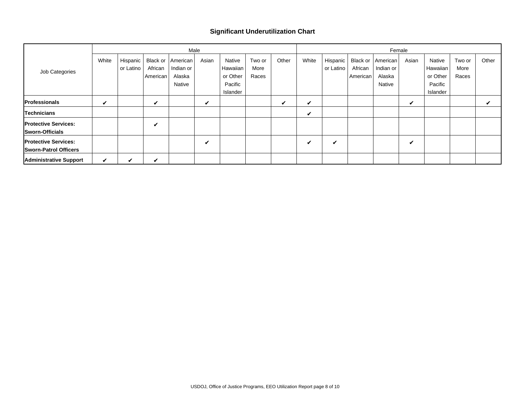#### **Significant Underutilization Chart**

|                               |       |           |          | Male      |       |          |        | Female |       |            |          |           |       |          |        |       |
|-------------------------------|-------|-----------|----------|-----------|-------|----------|--------|--------|-------|------------|----------|-----------|-------|----------|--------|-------|
|                               | White | Hispanic  | Black or | American  | Asian | Native   | Two or | Other  | White | Hispanic I | Black or | American  | Asian | Native   | Two or | Other |
| Job Categories                |       | or Latino | African  | Indian or |       | Hawaiian | More   |        |       | or Latino  | African  | Indian or |       | Hawaiian | More   |       |
|                               |       |           | American | Alaska    |       | or Other | Races  |        |       |            | American | Alaska    |       | or Other | Races  |       |
|                               |       |           |          | Native    |       | Pacific  |        |        |       |            |          | Native    |       | Pacific  |        |       |
|                               |       |           |          |           |       | Islander |        |        |       |            |          |           |       | Islander |        |       |
| Professionals                 | V     |           | ✔        |           | ✓     |          |        | ✓      | ✔     |            |          |           | ✓     |          |        | ✔     |
| Technicians                   |       |           |          |           |       |          |        |        | ✓     |            |          |           |       |          |        |       |
| <b>Protective Services:</b>   |       |           | ✔        |           |       |          |        |        |       |            |          |           |       |          |        |       |
| Sworn-Officials               |       |           |          |           |       |          |        |        |       |            |          |           |       |          |        |       |
| <b>Protective Services:</b>   |       |           |          |           | ✔     |          |        |        | ✔     | V          |          |           | ✔     |          |        |       |
| <b>Sworn-Patrol Officers</b>  |       |           |          |           |       |          |        |        |       |            |          |           |       |          |        |       |
| <b>Administrative Support</b> | ✓     | ✔         | ✔        |           |       |          |        |        |       |            |          |           |       |          |        |       |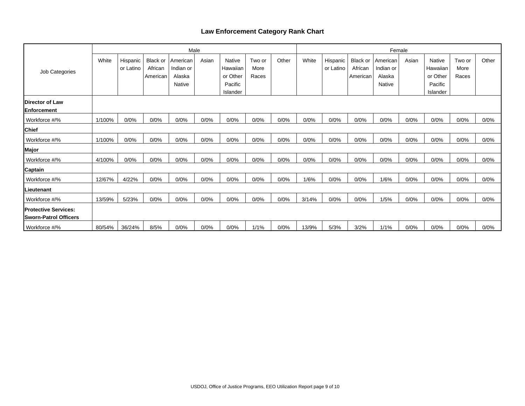## **Law Enforcement Category Rank Chart**

|                               |        |           |                 | Male      |       |          |        | Female |       |           |          |           |       |               |        |       |
|-------------------------------|--------|-----------|-----------------|-----------|-------|----------|--------|--------|-------|-----------|----------|-----------|-------|---------------|--------|-------|
|                               | White  | Hispanic  | <b>Black or</b> | American  | Asian | Native   | Two or | Other  | White | Hispanic  | Black or | American  | Asian | <b>Native</b> | Two or | Other |
| Job Categories                |        | or Latino | African         | Indian or |       | Hawaiian | More   |        |       | or Latino | African  | Indian or |       | Hawaiian      | More   |       |
|                               |        |           | American        | Alaska    |       | or Other | Races  |        |       |           | American | Alaska    |       | or Other      | Races  |       |
|                               |        |           |                 | Native    |       | Pacific  |        |        |       |           |          | Native    |       | Pacific       |        |       |
|                               |        |           |                 |           |       | Islander |        |        |       |           |          |           |       | Islander      |        |       |
| Director of Law               |        |           |                 |           |       |          |        |        |       |           |          |           |       |               |        |       |
| Enforcement                   |        |           |                 |           |       |          |        |        |       |           |          |           |       |               |        |       |
| Workforce #/%                 | 1/100% | 0/0%      | 0/0%            | 0/0%      | 0/0%  | 0/0%     | 0/0%   | 0/0%   | 0/0%  | 0/0%      | 0/0%     | 0/0%      | 0/0%  | 0/0%          | 0/0%   | 0/0%  |
| Chief                         |        |           |                 |           |       |          |        |        |       |           |          |           |       |               |        |       |
| Workforce #/%                 | 1/100% | 0/0%      | 0/0%            | 0/0%      | 0/0%  | 0/0%     | 0/0%   | 0/0%   | 0/0%  | 0/0%      | 0/0%     | 0/0%      | 0/0%  | 0/0%          | 0/0%   | 0/0%  |
| Major                         |        |           |                 |           |       |          |        |        |       |           |          |           |       |               |        |       |
| Workforce #/%                 | 4/100% | 0/0%      | 0/0%            | 0/0%      | 0/0%  | 0/0%     | 0/0%   | 0/0%   | 0/0%  | 0/0%      | 0/0%     | 0/0%      | 0/0%  | 0/0%          | 0/0%   | 0/0%  |
| Captain                       |        |           |                 |           |       |          |        |        |       |           |          |           |       |               |        |       |
| Workforce #/%                 | 12/67% | 4/22%     | 0/0%            | 0/0%      | 0/0%  | 0/0%     | 0/0%   | 0/0%   | 1/6%  | 0/0%      | 0/0%     | 1/6%      | 0/0%  | 0/0%          | 0/0%   | 0/0%  |
| .ieutenant                    |        |           |                 |           |       |          |        |        |       |           |          |           |       |               |        |       |
| Workforce #/%                 | 13/59% | 5/23%     | 0/0%            | 0/0%      | 0/0%  | 0/0%     | 0/0%   | 0/0%   | 3/14% | 0/0%      | 0/0%     | 1/5%      | 0/0%  | 0/0%          | 0/0%   | 0/0%  |
| <b>Protective Services:</b>   |        |           |                 |           |       |          |        |        |       |           |          |           |       |               |        |       |
| <b>ISworn-Patrol Officers</b> |        |           |                 |           |       |          |        |        |       |           |          |           |       |               |        |       |
| Workforce #/%                 | 80/54% | 36/24%    | 8/5%            | 0/0%      | 0/0%  | 0/0%     | 1/1%   | 0/0%   | 13/9% | 5/3%      | 3/2%     | 1/1%      | 0/0%  | 0/0%          | 0/0%   | 0/0%  |